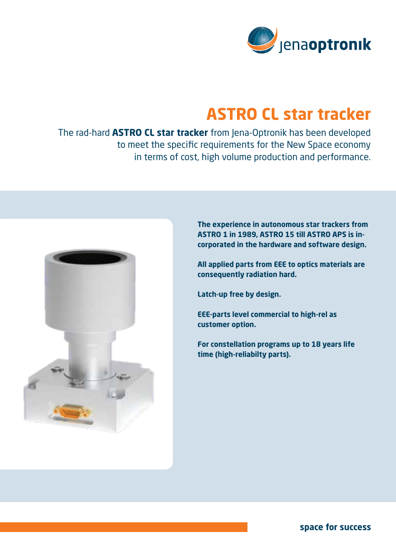

## **ASTRO CL star tracker**

The rad-hard **ASTRO CL star tracker** from Jena-Optronik has been developed to meet the specific requirements for the New Space economy in terms of cost, high volume production and performance.



**The experience in autonomous star trackers from ASTRO 1 in 1989, ASTRO 15 till ASTRO APS is incorporated in the hardware and software design.** 

**All applied parts from EEE to optics materials are consequently radiation hard.** 

**Latch-up free by design.**

**EEE-parts level commercial to high-rel as customer option.**

**For constellation programs up to 18 years life time (high-reliabilty parts).**

**space for success**